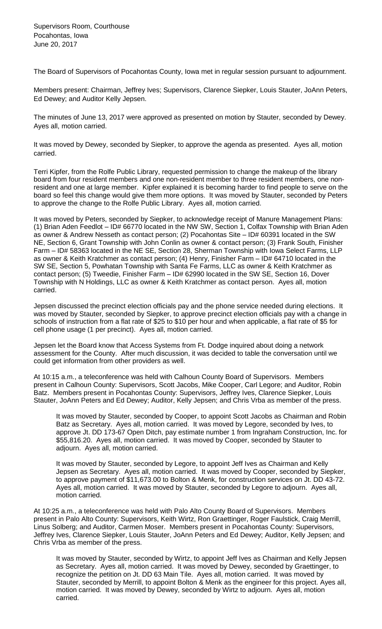The Board of Supervisors of Pocahontas County, Iowa met in regular session pursuant to adjournment.

Members present: Chairman, Jeffrey Ives; Supervisors, Clarence Siepker, Louis Stauter, JoAnn Peters, Ed Dewey; and Auditor Kelly Jepsen.

The minutes of June 13, 2017 were approved as presented on motion by Stauter, seconded by Dewey. Ayes all, motion carried.

It was moved by Dewey, seconded by Siepker, to approve the agenda as presented. Ayes all, motion carried.

Terri Kipfer, from the Rolfe Public Library, requested permission to change the makeup of the library board from four resident members and one non-resident member to three resident members, one nonresident and one at large member. Kipfer explained it is becoming harder to find people to serve on the board so feel this change would give them more options. It was moved by Stauter, seconded by Peters to approve the change to the Rolfe Public Library. Ayes all, motion carried.

It was moved by Peters, seconded by Siepker, to acknowledge receipt of Manure Management Plans: (1) Brian Aden Feedlot – ID# 66770 located in the NW SW, Section 1, Colfax Township with Brian Aden as owner & Andrew Nesseth as contact person; (2) Pocahontas Site – ID# 60391 located in the SW NE, Section 6, Grant Township with John Conlin as owner & contact person; (3) Frank South, Finisher Farm – ID# 58363 located in the NE SE, Section 28, Sherman Township with Iowa Select Farms, LLP as owner & Keith Kratchmer as contact person; (4) Henry, Finisher Farm – ID# 64710 located in the SW SE, Section 5, Powhatan Township with Santa Fe Farms, LLC as owner & Keith Kratchmer as contact person; (5) Tweedie, Finisher Farm – ID# 62990 located in the SW SE, Section 16, Dover Township with N Holdings, LLC as owner & Keith Kratchmer as contact person. Ayes all, motion carried.

Jepsen discussed the precinct election officials pay and the phone service needed during elections. It was moved by Stauter, seconded by Siepker, to approve precinct election officials pay with a change in schools of instruction from a flat rate of \$25 to \$10 per hour and when applicable, a flat rate of \$5 for cell phone usage (1 per precinct). Ayes all, motion carried.

Jepsen let the Board know that Access Systems from Ft. Dodge inquired about doing a network assessment for the County. After much discussion, it was decided to table the conversation until we could get information from other providers as well.

At 10:15 a.m., a teleconference was held with Calhoun County Board of Supervisors. Members present in Calhoun County: Supervisors, Scott Jacobs, Mike Cooper, Carl Legore; and Auditor, Robin Batz. Members present in Pocahontas County: Supervisors, Jeffrey Ives, Clarence Siepker, Louis Stauter, JoAnn Peters and Ed Dewey; Auditor, Kelly Jepsen; and Chris Vrba as member of the press.

It was moved by Stauter, seconded by Cooper, to appoint Scott Jacobs as Chairman and Robin Batz as Secretary. Ayes all, motion carried. It was moved by Legore, seconded by Ives, to approve Jt. DD 173-67 Open Ditch, pay estimate number 1 from Ingraham Construction, Inc. for \$55,816.20. Ayes all, motion carried. It was moved by Cooper, seconded by Stauter to adjourn. Ayes all, motion carried.

It was moved by Stauter, seconded by Legore, to appoint Jeff Ives as Chairman and Kelly Jepsen as Secretary. Ayes all, motion carried. It was moved by Cooper, seconded by Siepker, to approve payment of \$11,673.00 to Bolton & Menk, for construction services on Jt. DD 43-72. Ayes all, motion carried. It was moved by Stauter, seconded by Legore to adjourn. Ayes all, motion carried.

At 10:25 a.m., a teleconference was held with Palo Alto County Board of Supervisors. Members present in Palo Alto County: Supervisors, Keith Wirtz, Ron Graettinger, Roger Faulstick, Craig Merrill, Linus Solberg; and Auditor, Carmen Moser. Members present in Pocahontas County: Supervisors, Jeffrey Ives, Clarence Siepker, Louis Stauter, JoAnn Peters and Ed Dewey; Auditor, Kelly Jepsen; and Chris Vrba as member of the press.

It was moved by Stauter, seconded by Wirtz, to appoint Jeff Ives as Chairman and Kelly Jepsen as Secretary. Ayes all, motion carried. It was moved by Dewey, seconded by Graettinger, to recognize the petition on Jt. DD 63 Main Tile. Ayes all, motion carried. It was moved by Stauter, seconded by Merrill, to appoint Bolton & Menk as the engineer for this project. Ayes all, motion carried. It was moved by Dewey, seconded by Wirtz to adjourn. Ayes all, motion carried.